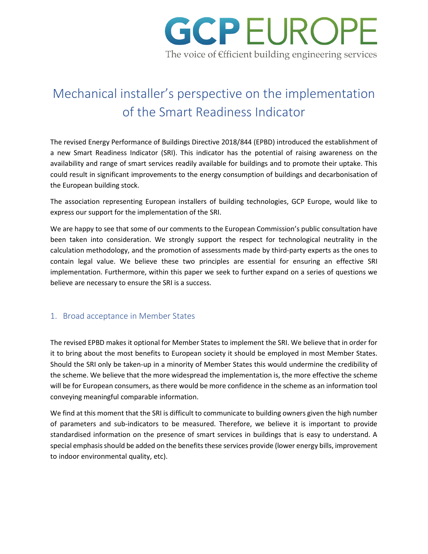

# Mechanical installer's perspective on the implementation of the Smart Readiness Indicator

The revised Energy Performance of Buildings Directive 2018/844 (EPBD) introduced the establishment of a new Smart Readiness Indicator (SRI). This indicator has the potential of raising awareness on the availability and range of smart services readily available for buildings and to promote their uptake. This could result in significant improvements to the energy consumption of buildings and decarbonisation of the European building stock.

The association representing European installers of building technologies, GCP Europe, would like to express our support for the implementation of the SRI.

We are happy to see that some of our comments to the European Commission's public consultation have been taken into consideration. We strongly support the respect for technological neutrality in the calculation methodology, and the promotion of assessments made by third-party experts as the ones to contain legal value. We believe these two principles are essential for ensuring an effective SRI implementation. Furthermore, within this paper we seek to further expand on a series of questions we believe are necessary to ensure the SRI is a success.

#### 1. Broad acceptance in Member States

The revised EPBD makes it optional for Member States to implement the SRI. We believe that in order for it to bring about the most benefits to European society it should be employed in most Member States. Should the SRI only be taken-up in a minority of Member States this would undermine the credibility of the scheme. We believe that the more widespread the implementation is, the more effective the scheme will be for European consumers, as there would be more confidence in the scheme as an information tool conveying meaningful comparable information.

We find at this moment that the SRI is difficult to communicate to building owners given the high number of parameters and sub-indicators to be measured. Therefore, we believe it is important to provide standardised information on the presence of smart services in buildings that is easy to understand. A special emphasis should be added on the benefits these services provide (lower energy bills, improvement to indoor environmental quality, etc).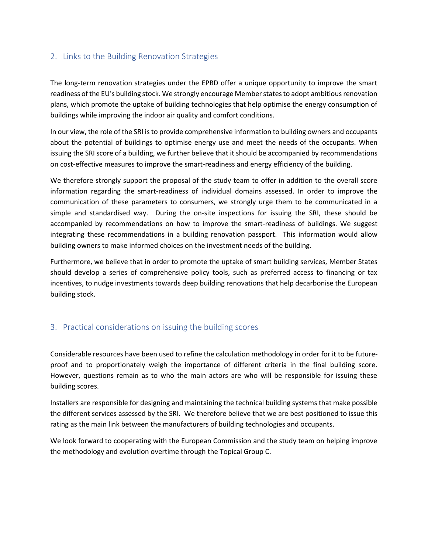### 2. Links to the Building Renovation Strategies

The long-term renovation strategies under the EPBD offer a unique opportunity to improve the smart readiness of the EU's building stock. We strongly encourage Member states to adopt ambitious renovation plans, which promote the uptake of building technologies that help optimise the energy consumption of buildings while improving the indoor air quality and comfort conditions.

In our view, the role of the SRI is to provide comprehensive information to building owners and occupants about the potential of buildings to optimise energy use and meet the needs of the occupants. When issuing the SRI score of a building, we further believe that it should be accompanied by recommendations on cost-effective measures to improve the smart-readiness and energy efficiency of the building.

We therefore strongly support the proposal of the study team to offer in addition to the overall score information regarding the smart-readiness of individual domains assessed. In order to improve the communication of these parameters to consumers, we strongly urge them to be communicated in a simple and standardised way. During the on-site inspections for issuing the SRI, these should be accompanied by recommendations on how to improve the smart-readiness of buildings. We suggest integrating these recommendations in a building renovation passport. This information would allow building owners to make informed choices on the investment needs of the building.

Furthermore, we believe that in order to promote the uptake of smart building services, Member States should develop a series of comprehensive policy tools, such as preferred access to financing or tax incentives, to nudge investments towards deep building renovations that help decarbonise the European building stock.

## 3. Practical considerations on issuing the building scores

Considerable resources have been used to refine the calculation methodology in order for it to be futureproof and to proportionately weigh the importance of different criteria in the final building score. However, questions remain as to who the main actors are who will be responsible for issuing these building scores.

Installers are responsible for designing and maintaining the technical building systems that make possible the different services assessed by the SRI. We therefore believe that we are best positioned to issue this rating as the main link between the manufacturers of building technologies and occupants.

We look forward to cooperating with the European Commission and the study team on helping improve the methodology and evolution overtime through the Topical Group C.